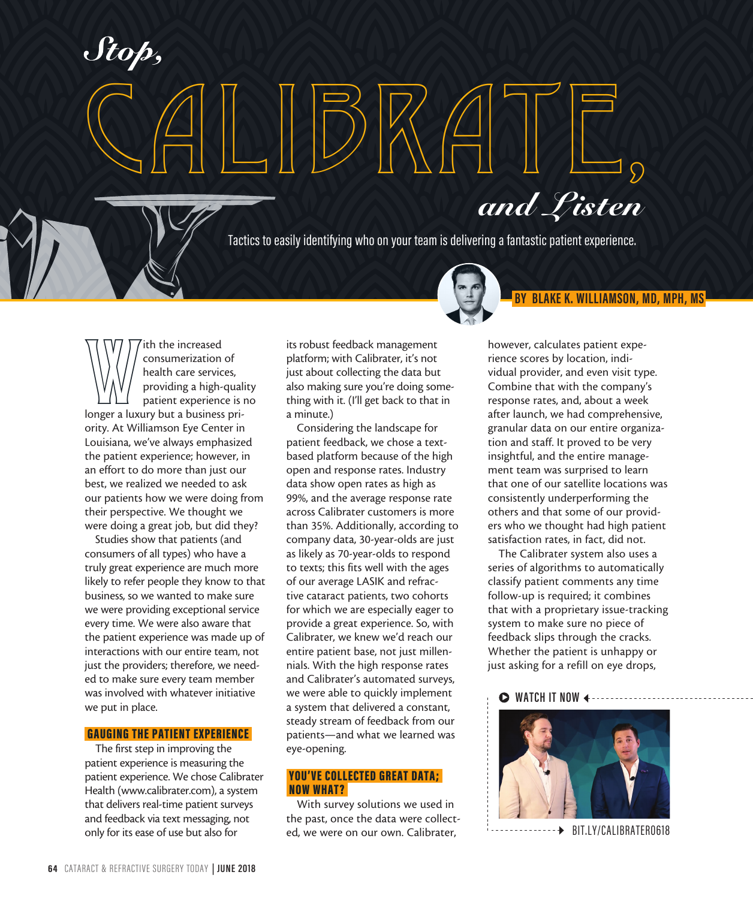With the increased<br>
consumerization of<br>
health care services,<br>
providing a high-qual<br>
patient experience is<br>
longer a luxury but a business priconsumerization of health care services, providing a high-quality patient experience is no ority. At Williamson Eye Center in Louisiana, we've always emphasized the patient experience; however, in an effort to do more than just our best, we realized we needed to ask our patients how we were doing from their perspective. We thought we were doing a great job, but did they?

 $\left(\bigcap_{i=1}^n\mathbb{Z}_p\right)$ 

s *MH<sub>Q</sub>W* 

*Stop,*

Studies show that patients (and consumers of all types) who have a truly great experience are much more likely to refer people they know to that business, so we wanted to make sure we were providing exceptional service every time. We were also aware that the patient experience was made up of interactions with our entire team, not just the providers; therefore, we needed to make sure every team member was involved with whatever initiative we put in place.

## GAUGING THE PATIENT EXPERIENCE

The first step in improving the patient experience is measuring the patient experience. We chose Calibrater Health (www.calibrater.com), a system that delivers real-time patient surveys and feedback via text messaging, not only for its ease of use but also for

its robust feedback management platform; with Calibrater, it's not just about collecting the data but also making sure you're doing something with it. (I'll get back to that in a minute.)

CALIBRATE,

Considering the landscape for patient feedback, we chose a textbased platform because of the high open and response rates. Industry data show open rates as high as 99%, and the average response rate across Calibrater customers is more than 35%. Additionally, according to company data, 30-year-olds are just as likely as 70-year-olds to respond to texts; this fits well with the ages of our average LASIK and refractive cataract patients, two cohorts for which we are especially eager to provide a great experience. So, with Calibrater, we knew we'd reach our entire patient base, not just millennials. With the high response rates and Calibrater's automated surveys, we were able to quickly implement a system that delivered a constant, steady stream of feedback from our patients—and what we learned was eye-opening.

## YOU'VE COLLECTED GREAT DATA; NOW WHAT?

With survey solutions we used in the past, once the data were collected, we were on our own. Calibrater,

however, calculates patient experience scores by location, individual provider, and even visit type. Combine that with the company's response rates, and, about a week after launch, we had comprehensive, granular data on our entire organization and staff. It proved to be very insightful, and the entire management team was surprised to learn that one of our satellite locations was consistently underperforming the others and that some of our providers who we thought had high patient satisfaction rates, in fact, did not.

 **BY BLAKE K. WILLIAMSON, MD, MPH, MS** 

The Calibrater system also uses a series of algorithms to automatically classify patient comments any time follow-up is required; it combines that with a proprietary issue-tracking system to make sure no piece of feedback slips through the cracks. Whether the patient is unhappy or just asking for a refill on eye drops,

# $\triangleright$  **WATCH IT NOW**



BIT.LY/CALIBRATER0618

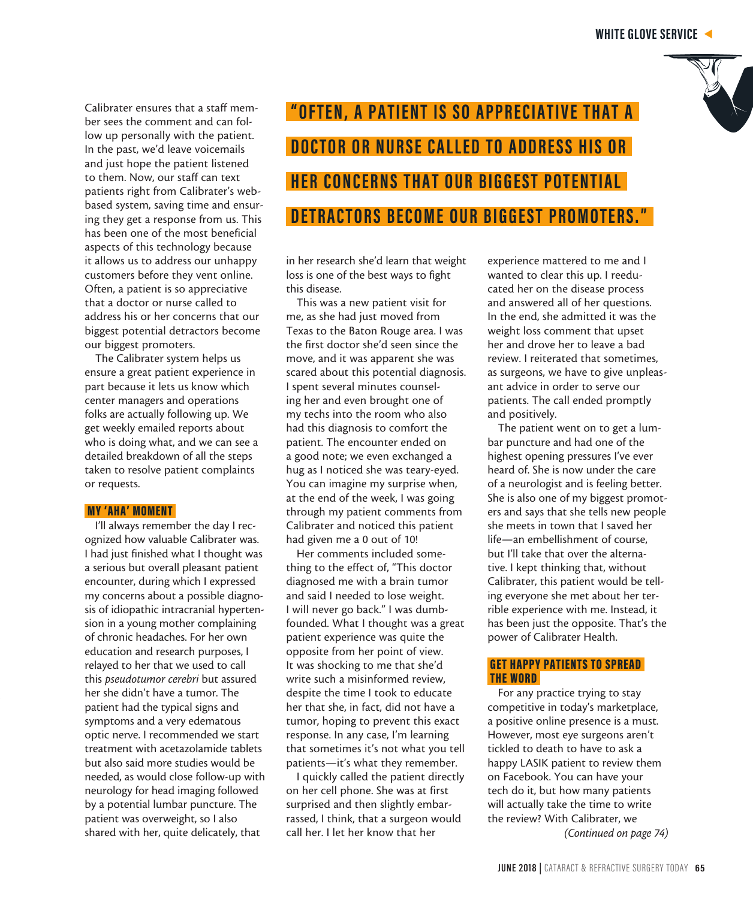

Calibrater ensures that a staff member sees the comment and can follow up personally with the patient. In the past, we'd leave voicemails and just hope the patient listened to them. Now, our staff can text patients right from Calibrater's webbased system, saving time and ensuring they get a response from us. This has been one of the most beneficial aspects of this technology because it allows us to address our unhappy customers before they vent online. Often, a patient is so appreciative that a doctor or nurse called to address his or her concerns that our biggest potential detractors become our biggest promoters.

The Calibrater system helps us ensure a great patient experience in part because it lets us know which center managers and operations folks are actually following up. We get weekly emailed reports about who is doing what, and we can see a detailed breakdown of all the steps taken to resolve patient complaints or requests.

#### MY 'AHA' MOMENT

I'll always remember the day I recognized how valuable Calibrater was. I had just finished what I thought was a serious but overall pleasant patient encounter, during which I expressed my concerns about a possible diagnosis of idiopathic intracranial hypertension in a young mother complaining of chronic headaches. For her own education and research purposes, I relayed to her that we used to call this *pseudotumor cerebri* but assured her she didn't have a tumor. The patient had the typical signs and symptoms and a very edematous optic nerve. I recommended we start treatment with acetazolamide tablets but also said more studies would be needed, as would close follow-up with neurology for head imaging followed by a potential lumbar puncture. The patient was overweight, so I also shared with her, quite delicately, that

# **"OFTEN, A PATIENT IS SO APPRECIATIVE THAT A DOCTOR OR NURSE CALLED TO ADDRESS HIS OR HER CONCERNS THAT OUR BIGGEST POTENTIAL DETRACTORS BECOME OUR BIGGEST PROMOTERS."**

in her research she'd learn that weight loss is one of the best ways to fight this disease.

This was a new patient visit for me, as she had just moved from Texas to the Baton Rouge area. I was the first doctor she'd seen since the move, and it was apparent she was scared about this potential diagnosis. I spent several minutes counseling her and even brought one of my techs into the room who also had this diagnosis to comfort the patient. The encounter ended on a good note; we even exchanged a hug as I noticed she was teary-eyed. You can imagine my surprise when, at the end of the week, I was going through my patient comments from Calibrater and noticed this patient had given me a 0 out of 10!

Her comments included something to the effect of, "This doctor diagnosed me with a brain tumor and said I needed to lose weight. I will never go back." I was dumbfounded. What I thought was a great patient experience was quite the opposite from her point of view. It was shocking to me that she'd write such a misinformed review, despite the time I took to educate her that she, in fact, did not have a tumor, hoping to prevent this exact response. In any case, I'm learning that sometimes it's not what you tell patients—it's what they remember.

I quickly called the patient directly on her cell phone. She was at first surprised and then slightly embarrassed, I think, that a surgeon would call her. I let her know that her

experience mattered to me and I wanted to clear this up. I reeducated her on the disease process and answered all of her questions. In the end, she admitted it was the weight loss comment that upset her and drove her to leave a bad review. I reiterated that sometimes, as surgeons, we have to give unpleasant advice in order to serve our patients. The call ended promptly and positively.

The patient went on to get a lumbar puncture and had one of the highest opening pressures I've ever heard of. She is now under the care of a neurologist and is feeling better. She is also one of my biggest promoters and says that she tells new people she meets in town that I saved her life—an embellishment of course, but I'll take that over the alternative. I kept thinking that, without Calibrater, this patient would be telling everyone she met about her terrible experience with me. Instead, it has been just the opposite. That's the power of Calibrater Health.

# GET HAPPY PATIENTS TO SPREAD THE WORD

For any practice trying to stay competitive in today's marketplace, a positive online presence is a must. However, most eye surgeons aren't tickled to death to have to ask a happy LASIK patient to review them on Facebook. You can have your tech do it, but how many patients will actually take the time to write the review? With Calibrater, we *(Continued on page 74)*